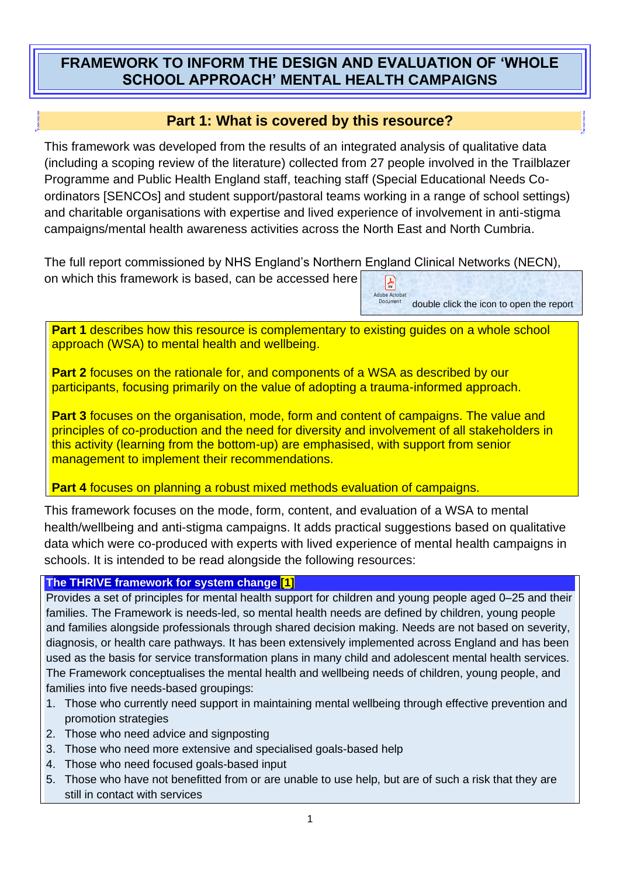# **FRAMEWORK TO INFORM THE DESIGN AND EVALUATION OF 'WHOLE SCHOOL APPROACH' MENTAL HEALTH CAMPAIGNS**

# **Part 1: What is covered by this resource?**

This framework was developed from the results of an integrated analysis of qualitative data (including a scoping review of the literature) collected from 27 people involved in the Trailblazer Programme and Public Health England staff, teaching staff (Special Educational Needs Coordinators [SENCOs] and student support/pastoral teams working in a range of school settings) and charitable organisations with expertise and lived experience of involvement in anti-stigma campaigns/mental health awareness activities across the North East and North Cumbria.

The full report commissioned by NHS England's Northern England Clinical Networks (NECN), on which this framework is based, can be accessed here  $\mathbb{R}$ 

> Adobe Acro **Document** double click the icon to open the report

**Part 1** describes how this resource is complementary to existing guides on a whole school approach (WSA) to mental health and wellbeing.

**Part 2** focuses on the rationale for, and components of a WSA as described by our participants, focusing primarily on the value of adopting a trauma-informed approach.

**Part 3** focuses on the organisation, mode, form and content of campaigns. The value and principles of co-production and the need for diversity and involvement of all stakeholders in this activity (learning from the bottom-up) are emphasised, with support from senior management to implement their recommendations.

**Part 4** focuses on planning a robust mixed methods evaluation of campaigns.

This framework focuses on the mode, form, content, and evaluation of a WSA to mental health/wellbeing and anti-stigma campaigns. It adds practical suggestions based on qualitative data which were co-produced with experts with lived experience of mental health campaigns in schools. It is intended to be read alongside the following resources:

#### **The THRIVE framework for system change [1]**

Provides a set of principles for mental health support for children and young people aged 0–25 and their families. The Framework is needs-led, so mental health needs are defined by children, young people and families alongside professionals through shared decision making. Needs are not based on severity, diagnosis, or health care pathways. It has been extensively implemented across England and has been used as the basis for service transformation plans in many child and adolescent mental health services. The Framework conceptualises the mental health and wellbeing needs of children, young people, and families into five needs-based groupings:

- 1. Those who currently need support in maintaining mental wellbeing through effective prevention and promotion strategies
- 2. Those who need advice and signposting
- 3. Those who need more extensive and specialised goals-based help
- 4. Those who need focused goals-based input
- 5. Those who have not benefitted from or are unable to use help, but are of such a risk that they are still in contact with services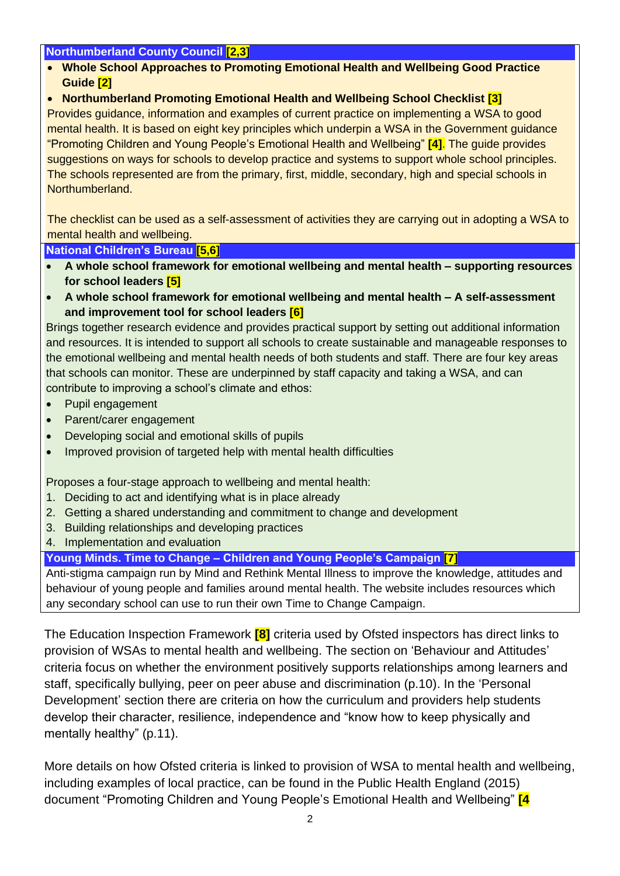#### **Northumberland County Council [2,3]**

- **Whole School Approaches to Promoting Emotional Health and Wellbeing Good Practice Guide [2]**
- **Northumberland Promoting Emotional Health and Wellbeing School Checklist [3]**

Provides guidance, information and examples of current practice on implementing a WSA to good mental health. It is based on eight key principles which underpin a WSA in the Government guidance "Promoting Children and Young People's Emotional Health and Wellbeing" **[4]**. The guide provides suggestions on ways for schools to develop practice and systems to support whole school principles. The schools represented are from the primary, first, middle, secondary, high and special schools in Northumberland.

The checklist can be used as a self-assessment of activities they are carrying out in adopting a WSA to mental health and wellbeing.

**National Children's Bureau [5,6]**

- **A whole school framework for emotional wellbeing and mental health – supporting resources for school leaders [5]**
- **A whole school framework for emotional wellbeing and mental health – A self-assessment and improvement tool for school leaders [6]**

Brings together research evidence and provides practical support by setting out additional information and resources. It is intended to support all schools to create sustainable and manageable responses to the emotional wellbeing and mental health needs of both students and staff. There are four key areas that schools can monitor. These are underpinned by staff capacity and taking a WSA, and can contribute to improving a school's climate and ethos:

- Pupil engagement
- Parent/carer engagement
- Developing social and emotional skills of pupils
- Improved provision of targeted help with mental health difficulties

Proposes a four-stage approach to wellbeing and mental health:

- 1. Deciding to act and identifying what is in place already
- 2. Getting a shared understanding and commitment to change and development
- 3. Building relationships and developing practices
- 4. Implementation and evaluation

**Young Minds. Time to Change – Children and Young People's Campaign [7]**

Anti-stigma campaign run by Mind and Rethink Mental Illness to improve the knowledge, attitudes and behaviour of young people and families around mental health. The website includes resources which any secondary school can use to run their own Time to Change Campaign.

The Education Inspection Framework **[8]** criteria used by Ofsted inspectors has direct links to provision of WSAs to mental health and wellbeing. The section on 'Behaviour and Attitudes' criteria focus on whether the environment positively supports relationships among learners and staff, specifically bullying, peer on peer abuse and discrimination (p.10). In the 'Personal Development' section there are criteria on how the curriculum and providers help students develop their character, resilience, independence and "know how to keep physically and mentally healthy" (p.11).

More details on how Ofsted criteria is linked to provision of WSA to mental health and wellbeing, including examples of local practice, can be found in the Public Health England (2015) document "Promoting Children and Young People's Emotional Health and Wellbeing" **[4**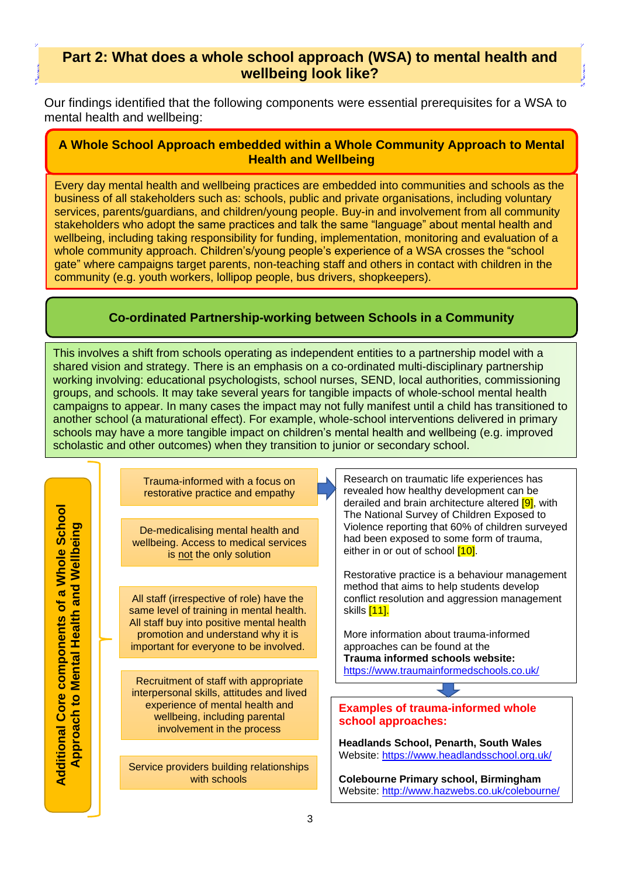## **Part 2: What does a whole school approach (WSA) to mental health and wellbeing look like?**

Our findings identified that the following components were essential prerequisites for a WSA to mental health and wellbeing:

#### **A Whole School Approach embedded within a Whole Community Approach to Mental Health and Wellbeing**

Every day mental health and wellbeing practices are embedded into communities and schools as the business of all stakeholders such as: schools, public and private organisations, including voluntary services, parents/guardians, and children/young people. Buy-in and involvement from all community stakeholders who adopt the same practices and talk the same "language" about mental health and wellbeing, including taking responsibility for funding, implementation, monitoring and evaluation of a whole community approach. Children's/young people's experience of a WSA crosses the "school gate" where campaigns target parents, non-teaching staff and others in contact with children in the community (e.g. youth workers, lollipop people, bus drivers, shopkeepers).

## **Co-ordinated Partnership-working between Schools in a Community**

This involves a shift from schools operating as independent entities to a partnership model with a shared vision and strategy. There is an emphasis on a co-ordinated multi-disciplinary partnership working involving: educational psychologists, school nurses, SEND, local authorities, commissioning groups, and schools. It may take several years for tangible impacts of whole-school mental health campaigns to appear. In many cases the impact may not fully manifest until a child has transitioned to another school (a maturational effect). For example, whole-school interventions delivered in primary schools may have a more tangible impact on children's mental health and wellbeing (e.g. improved scholastic and other outcomes) when they transition to junior or secondary school.

**Additional Core components of a Whole School Additional Core components of a Whole School** Approach to Mental Health and Wellbeing **Approach to Mental Health and Wellbeing** Trauma-informed with a focus on restorative practice and empathy

De-medicalising mental health and wellbeing. Access to medical services is not the only solution

All staff (irrespective of role) have the same level of training in mental health. All staff buy into positive mental health promotion and understand why it is important for everyone to be involved.

Recruitment of staff with appropriate interpersonal skills, attitudes and lived experience of mental health and wellbeing, including parental involvement in the process

Service providers building relationships with schools

Research on traumatic life experiences has revealed how healthy development can be derailed and brain architecture altered **[9]**, with The National Survey of Children Exposed to Violence reporting that 60% of children surveyed had been exposed to some form of trauma, either in or out of school  $[10]$ .

Restorative practice is a behaviour management method that aims to help students develop conflict resolution and aggression management skills <a>[11]</a>.

More information about trauma-informed approaches can be found at the **Trauma informed schools website:**  <https://www.traumainformedschools.co.uk/>

#### **Examples of trauma-informed whole school approaches:**

**Headlands School, Penarth, South Wales** Website:<https://www.headlandsschool.org.uk/>

**Colebourne Primary school, Birmingham** Website:<http://www.hazwebs.co.uk/colebourne/>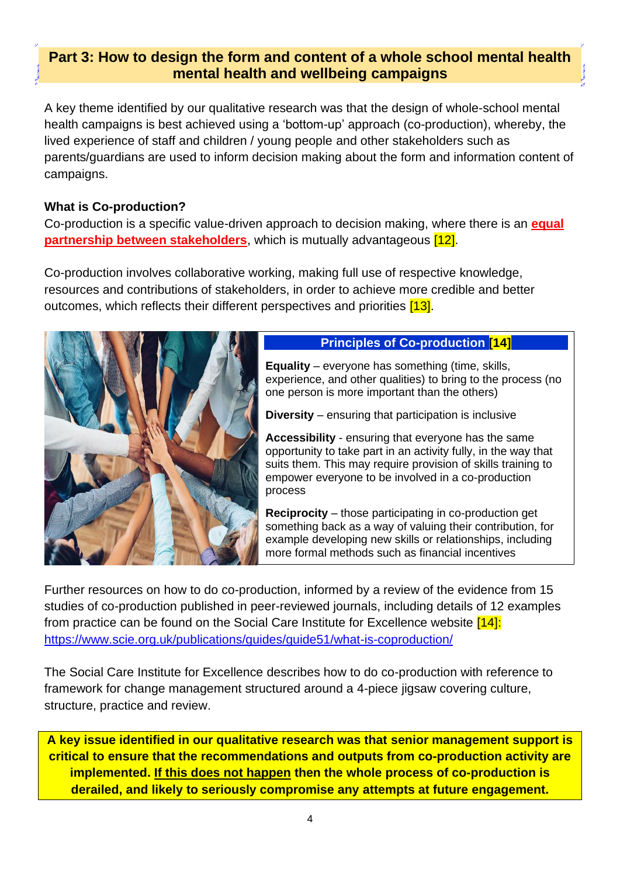# **Part 3: How to design the form and content of a whole school mental health mental health and wellbeing campaigns**

A key theme identified by our qualitative research was that the design of whole-school mental health campaigns is best achieved using a 'bottom-up' approach (co-production), whereby, the lived experience of staff and children / young people and other stakeholders such as parents/guardians are used to inform decision making about the form and information content of campaigns.

### **What is Co-production?**

Co-production is a specific value-driven approach to decision making, where there is an **equal partnership between stakeholders**, which is mutually advantageous [12].

Co-production involves collaborative working, making full use of respective knowledge, resources and contributions of stakeholders, in order to achieve more credible and better outcomes, which reflects their different perspectives and priorities [13].



# **Principles of Co-production [14]**

**Equality** – everyone has something (time, skills, experience, and other qualities) to bring to the process (no one person is more important than the others)

**Diversity** – ensuring that participation is inclusive

**Accessibility** - ensuring that everyone has the same opportunity to take part in an activity fully, in the way that suits them. This may require provision of skills training to empower everyone to be involved in a co-production process

**Reciprocity** – those participating in co-production get something back as a way of valuing their contribution, for example developing new skills or relationships, including more formal methods such as financial incentives

Further resources on how to do co-production, informed by a review of the evidence from 15 studies of co-production published in peer-reviewed journals, including details of 12 examples from practice can be found on the Social Care Institute for Excellence website [14]: <https://www.scie.org.uk/publications/guides/guide51/what-is-coproduction/>

The Social Care Institute for Excellence describes how to do co-production with reference to framework for change management structured around a 4-piece jigsaw covering culture, structure, practice and review.

**A key issue identified in our qualitative research was that senior management support is critical to ensure that the recommendations and outputs from co-production activity are implemented. If this does not happen then the whole process of co-production is derailed, and likely to seriously compromise any attempts at future engagement.**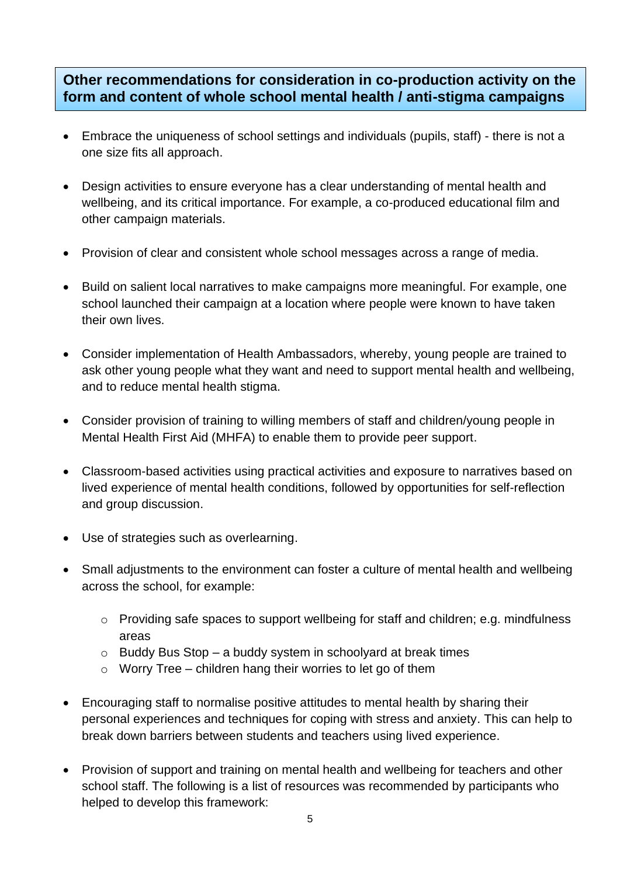# **Other recommendations for consideration in co-production activity on the form and content of whole school mental health / anti-stigma campaigns**

- Embrace the uniqueness of school settings and individuals (pupils, staff) there is not a one size fits all approach.
- Design activities to ensure everyone has a clear understanding of mental health and wellbeing, and its critical importance. For example, a co-produced educational film and other campaign materials.
- Provision of clear and consistent whole school messages across a range of media.
- Build on salient local narratives to make campaigns more meaningful. For example, one school launched their campaign at a location where people were known to have taken their own lives.
- Consider implementation of Health Ambassadors, whereby, young people are trained to ask other young people what they want and need to support mental health and wellbeing, and to reduce mental health stigma.
- Consider provision of training to willing members of staff and children/young people in Mental Health First Aid (MHFA) to enable them to provide peer support.
- Classroom-based activities using practical activities and exposure to narratives based on lived experience of mental health conditions, followed by opportunities for self-reflection and group discussion.
- Use of strategies such as overlearning.
- Small adjustments to the environment can foster a culture of mental health and wellbeing across the school, for example:
	- o Providing safe spaces to support wellbeing for staff and children; e.g. mindfulness areas
	- $\circ$  Buddy Bus Stop a buddy system in schoolyard at break times
	- $\circ$  Worry Tree children hang their worries to let go of them
- Encouraging staff to normalise positive attitudes to mental health by sharing their personal experiences and techniques for coping with stress and anxiety. This can help to break down barriers between students and teachers using lived experience.
- Provision of support and training on mental health and wellbeing for teachers and other school staff. The following is a list of resources was recommended by participants who helped to develop this framework: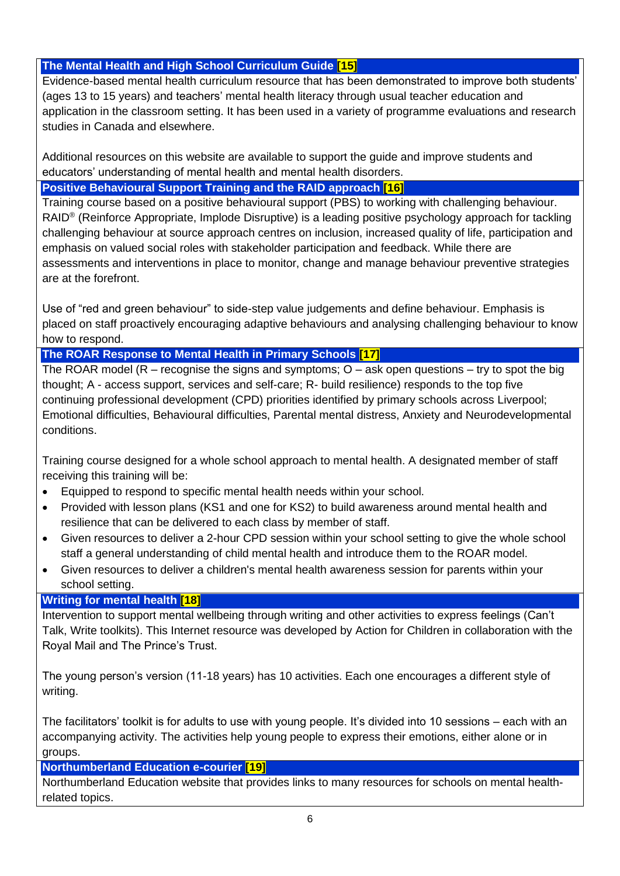## **The Mental Health and High School Curriculum Guide [15]**

Evidence-based mental health curriculum resource that has been demonstrated to improve both students' (ages 13 to 15 years) and teachers' mental health literacy through usual teacher education and application in the classroom setting. It has been used in a variety of programme evaluations and research studies in Canada and elsewhere.

Additional resources on this website are available to support the guide and improve students and educators' understanding of mental health and mental health disorders.

### **Positive Behavioural Support Training and the RAID approach [16]**

Training course based on a positive behavioural support (PBS) to working with challenging behaviour. RAID<sup>®</sup> (Reinforce Appropriate, Implode Disruptive) is a leading positive psychology approach for tackling challenging behaviour at source approach centres on inclusion, increased quality of life, participation and emphasis on valued social roles with stakeholder participation and feedback. While there are assessments and interventions in place to monitor, change and manage behaviour preventive strategies are at the forefront.

Use of "red and green behaviour" to side-step value judgements and define behaviour. Emphasis is placed on staff proactively encouraging adaptive behaviours and analysing challenging behaviour to know how to respond.

### **The ROAR Response to Mental Health in Primary Schools [17]**

The ROAR model ( $R -$  recognise the signs and symptoms;  $O -$  ask open questions  $-$  try to spot the big thought; A - access support, services and self-care; R- build resilience) responds to the top five continuing professional development (CPD) priorities identified by primary schools across Liverpool; Emotional difficulties, Behavioural difficulties, Parental mental distress, Anxiety and Neurodevelopmental conditions.

Training course designed for a whole school approach to mental health. A designated member of staff receiving this training will be:

- Equipped to respond to specific mental health needs within your school.
- Provided with lesson plans (KS1 and one for KS2) to build awareness around mental health and resilience that can be delivered to each class by member of staff.
- Given resources to deliver a 2-hour CPD session within your school setting to give the whole school staff a general understanding of child mental health and introduce them to the ROAR model.
- Given resources to deliver a children's mental health awareness session for parents within your school setting.

#### **Writing for mental health [18]**

Intervention to support mental wellbeing through writing and other activities to express feelings (Can't Talk, Write toolkits). This Internet resource was developed by Action for Children in collaboration with the Royal Mail and The Prince's Trust.

The young person's version (11-18 years) has 10 activities. Each one encourages a different style of writing.

The facilitators' toolkit is for adults to use with young people. It's divided into 10 sessions – each with an accompanying activity. The activities help young people to express their emotions, either alone or in groups.

#### **Northumberland Education e-courier [19]**

Northumberland Education website that provides links to many resources for schools on mental healthrelated topics.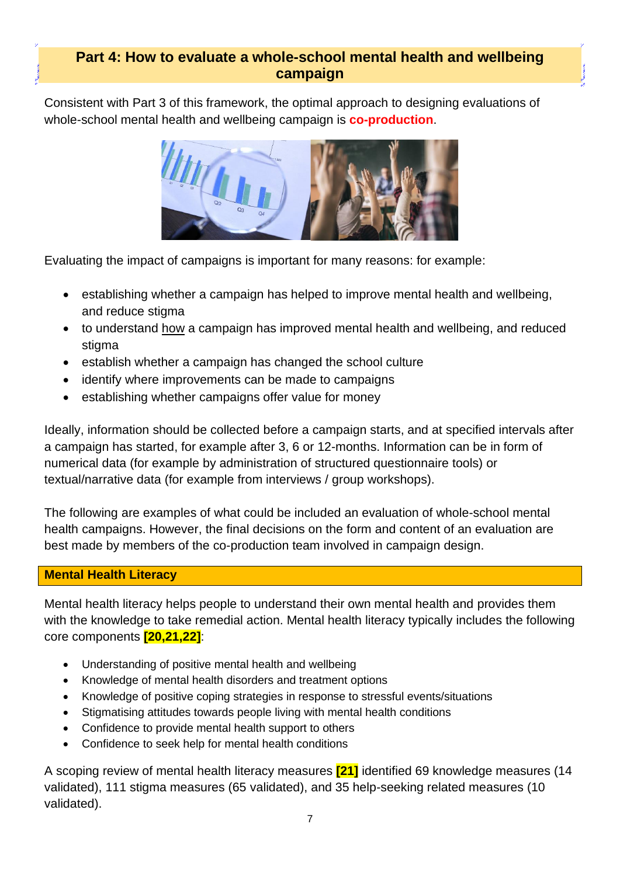# **Part 4: How to evaluate a whole-school mental health and wellbeing campaign**

Consistent with Part 3 of this framework, the optimal approach to designing evaluations of whole-school mental health and wellbeing campaign is **co-production**.



Evaluating the impact of campaigns is important for many reasons: for example:

- establishing whether a campaign has helped to improve mental health and wellbeing. and reduce stigma
- to understand how a campaign has improved mental health and wellbeing, and reduced stigma
- establish whether a campaign has changed the school culture
- identify where improvements can be made to campaigns
- establishing whether campaigns offer value for money

Ideally, information should be collected before a campaign starts, and at specified intervals after a campaign has started, for example after 3, 6 or 12-months. Information can be in form of numerical data (for example by administration of structured questionnaire tools) or textual/narrative data (for example from interviews / group workshops).

The following are examples of what could be included an evaluation of whole-school mental health campaigns. However, the final decisions on the form and content of an evaluation are best made by members of the co-production team involved in campaign design.

#### **Mental Health Literacy**

Mental health literacy helps people to understand their own mental health and provides them with the knowledge to take remedial action. Mental health literacy typically includes the following core components **[20,21,22]**:

- Understanding of positive mental health and wellbeing
- Knowledge of mental health disorders and treatment options
- Knowledge of positive coping strategies in response to stressful events/situations
- Stigmatising attitudes towards people living with mental health conditions
- Confidence to provide mental health support to others
- Confidence to seek help for mental health conditions

A scoping review of mental health literacy measures **[21]** identified 69 knowledge measures (14 validated), 111 stigma measures (65 validated), and 35 help-seeking related measures (10 validated).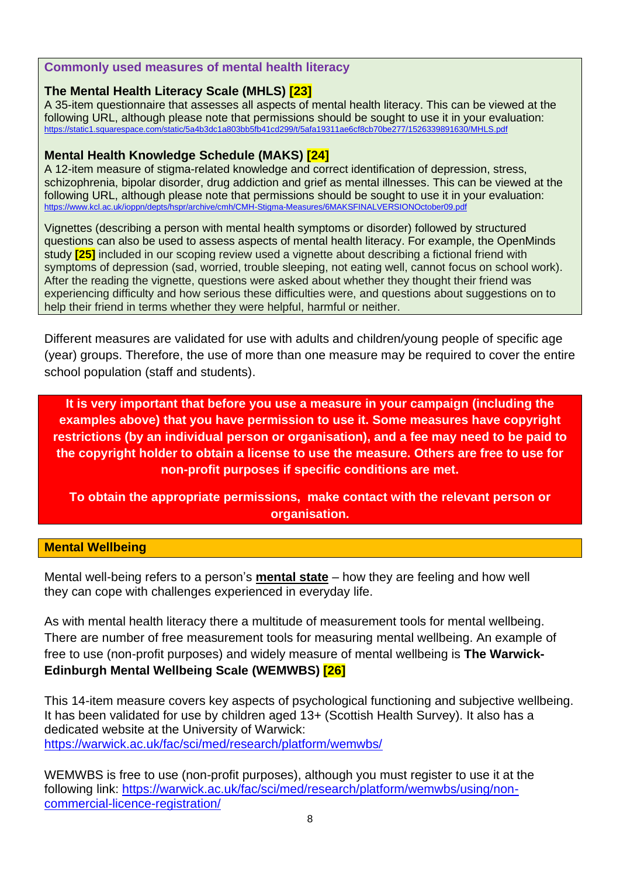#### **Commonly used measures of mental health literacy**

#### **The Mental Health Literacy Scale (MHLS) [23]**

A 35-item questionnaire that assesses all aspects of mental health literacy. This can be viewed at the following URL, although please note that permissions should be sought to use it in your evaluation: <https://static1.squarespace.com/static/5a4b3dc1a803bb5fb41cd299/t/5afa19311ae6cf8cb70be277/1526339891630/MHLS.pdf>

#### **Mental Health Knowledge Schedule (MAKS) [24]**

A 12-item measure of stigma-related knowledge and correct identification of depression, stress, schizophrenia, bipolar disorder, drug addiction and grief as mental illnesses. This can be viewed at the following URL, although please note that permissions should be sought to use it in your evaluation: <https://www.kcl.ac.uk/ioppn/depts/hspr/archive/cmh/CMH-Stigma-Measures/6MAKSFINALVERSIONOctober09.pdf>

Vignettes (describing a person with mental health symptoms or disorder) followed by structured questions can also be used to assess aspects of mental health literacy. For example, the OpenMinds study **[25]** included in our scoping review used a vignette about describing a fictional friend with symptoms of depression (sad, worried, trouble sleeping, not eating well, cannot focus on school work). After the reading the vignette, questions were asked about whether they thought their friend was experiencing difficulty and how serious these difficulties were, and questions about suggestions on to help their friend in terms whether they were helpful, harmful or neither.

Different measures are validated for use with adults and children/young people of specific age (year) groups. Therefore, the use of more than one measure may be required to cover the entire school population (staff and students).

**It is very important that before you use a measure in your campaign (including the examples above) that you have permission to use it. Some measures have copyright restrictions (by an individual person or organisation), and a fee may need to be paid to the copyright holder to obtain a license to use the measure. Others are free to use for non-profit purposes if specific conditions are met.**

**To obtain the appropriate permissions, make contact with the relevant person or organisation.**

#### **Mental Wellbeing**

Mental well-being refers to a person's **mental state** – how they are feeling and how well they can cope with challenges experienced in everyday life.

As with mental health literacy there a multitude of measurement tools for mental wellbeing. There are number of free measurement tools for measuring mental wellbeing. An example of free to use (non-profit purposes) and widely measure of mental wellbeing is **The Warwick-Edinburgh Mental Wellbeing Scale (WEMWBS) [26]**

This 14-item measure covers key aspects of psychological functioning and subjective wellbeing. It has been validated for use by children aged 13+ (Scottish Health Survey). It also has a dedicated website at the University of Warwick: <https://warwick.ac.uk/fac/sci/med/research/platform/wemwbs/>

WEMWBS is free to use (non-profit purposes), although you must register to use it at the following link: [https://warwick.ac.uk/fac/sci/med/research/platform/wemwbs/using/non](https://warwick.ac.uk/fac/sci/med/research/platform/wemwbs/using/non-commercial-licence-registration/)[commercial-licence-registration/](https://warwick.ac.uk/fac/sci/med/research/platform/wemwbs/using/non-commercial-licence-registration/)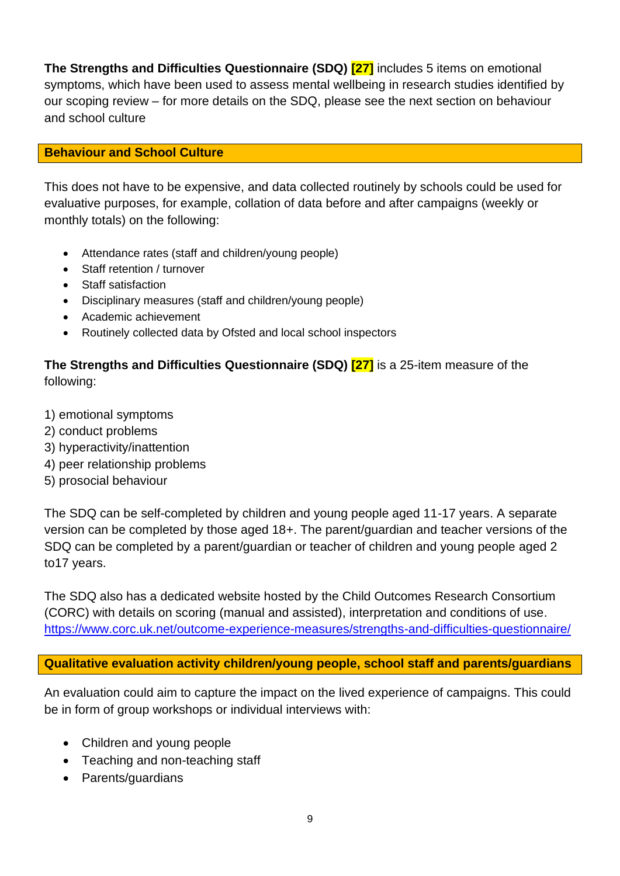**The Strengths and Difficulties Questionnaire (SDQ) [27]** includes 5 items on emotional symptoms, which have been used to assess mental wellbeing in research studies identified by our scoping review – for more details on the SDQ, please see the next section on behaviour and school culture

#### **Behaviour and School Culture**

This does not have to be expensive, and data collected routinely by schools could be used for evaluative purposes, for example, collation of data before and after campaigns (weekly or monthly totals) on the following:

- Attendance rates (staff and children/young people)
- Staff retention / turnover
- Staff satisfaction
- Disciplinary measures (staff and children/young people)
- Academic achievement
- Routinely collected data by Ofsted and local school inspectors

# **The Strengths and Difficulties Questionnaire (SDQ) [27]** is a 25-item measure of the following:

- 1) emotional symptoms
- 2) conduct problems
- 3) hyperactivity/inattention
- 4) peer relationship problems
- 5) prosocial behaviour

The SDQ can be self-completed by children and young people aged 11-17 years. A separate version can be completed by those aged 18+. The parent/guardian and teacher versions of the SDQ can be completed by a parent/guardian or teacher of children and young people aged 2 to17 years.

The SDQ also has a dedicated website hosted by the Child Outcomes Research Consortium (CORC) with details on scoring (manual and assisted), interpretation and conditions of use. <https://www.corc.uk.net/outcome-experience-measures/strengths-and-difficulties-questionnaire/>

**Qualitative evaluation activity children/young people, school staff and parents/guardians**

An evaluation could aim to capture the impact on the lived experience of campaigns. This could be in form of group workshops or individual interviews with:

- Children and young people
- Teaching and non-teaching staff
- Parents/guardians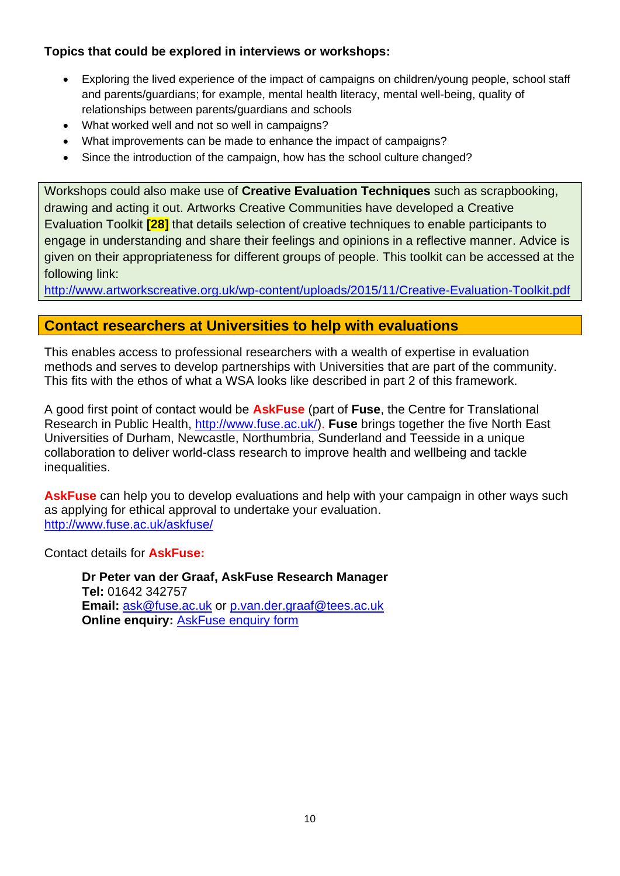### **Topics that could be explored in interviews or workshops:**

- Exploring the lived experience of the impact of campaigns on children/young people, school staff and parents/guardians; for example, mental health literacy, mental well-being, quality of relationships between parents/guardians and schools
- What worked well and not so well in campaigns?
- What improvements can be made to enhance the impact of campaigns?
- Since the introduction of the campaign, how has the school culture changed?

Workshops could also make use of **Creative Evaluation Techniques** such as scrapbooking, drawing and acting it out. Artworks Creative Communities have developed a Creative Evaluation Toolkit **[28]** that details selection of creative techniques to enable participants to engage in understanding and share their feelings and opinions in a reflective manner. Advice is given on their appropriateness for different groups of people. This toolkit can be accessed at the following link:

<http://www.artworkscreative.org.uk/wp-content/uploads/2015/11/Creative-Evaluation-Toolkit.pdf>

## **Contact researchers at Universities to help with evaluations**

This enables access to professional researchers with a wealth of expertise in evaluation methods and serves to develop partnerships with Universities that are part of the community. This fits with the ethos of what a WSA looks like described in part 2 of this framework.

A good first point of contact would be **AskFuse** (part of **Fuse**, the Centre for Translational Research in Public Health, [http://www.fuse.ac.uk/\)](http://www.fuse.ac.uk/). **Fuse** brings together the five North East Universities of Durham, Newcastle, Northumbria, Sunderland and Teesside in a unique collaboration to deliver world-class research to improve health and wellbeing and tackle inequalities.

**AskFuse** can help you to develop evaluations and help with your campaign in other ways such as applying for ethical approval to undertake your evaluation. <http://www.fuse.ac.uk/askfuse/>

Contact details for **AskFuse:**

**Dr Peter van der Graaf, AskFuse Research Manager Tel:** 01642 342757 **Email:** [ask@fuse.ac.uk](mailto:ask@fuse.ac.uk) or [p.van.der.graaf@tees.ac.uk](mailto:p.van.der.graaf@tees.ac.uk) **Online enquiry: [AskFuse enquiry form](http://forms.ncl.ac.uk/view.php?id=3804)**